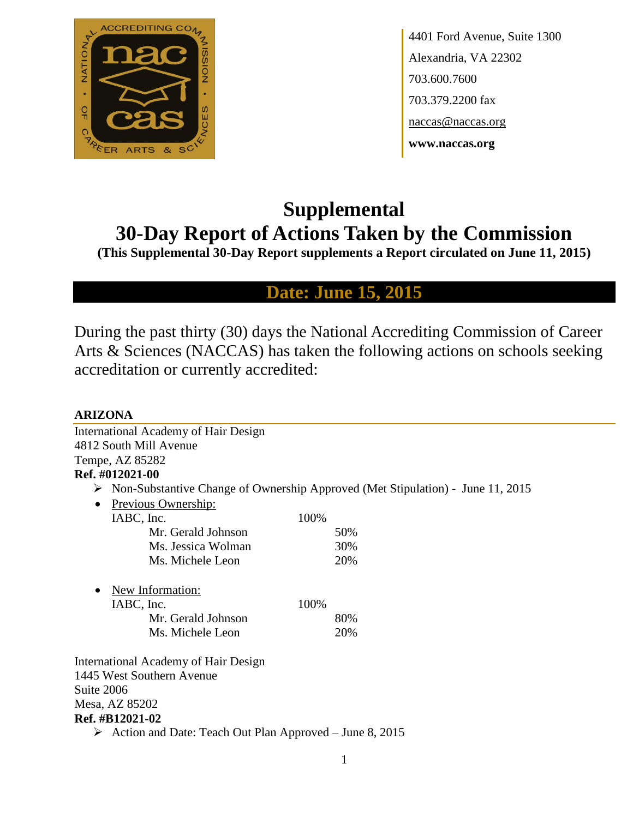

4401 Ford Avenue, Suite 1300 Alexandria, VA 22302 703.600.7600 703.379.2200 fax naccas@naccas.org **www.naccas.org**

# **Supplemental 30-Day Report of Actions Taken by the Commission**

**(This Supplemental 30-Day Report supplements a Report circulated on June 11, 2015)**

**Date: June 15, 2015**

During the past thirty (30) days the National Accrediting Commission of Career Arts & Sciences (NACCAS) has taken the following actions on schools seeking accreditation or currently accredited:

| <b>ARIZONA</b>                                          |                                                                                                 |
|---------------------------------------------------------|-------------------------------------------------------------------------------------------------|
| <b>International Academy of Hair Design</b>             |                                                                                                 |
| 4812 South Mill Avenue                                  |                                                                                                 |
| Tempe, AZ 85282                                         |                                                                                                 |
| Ref. #012021-00                                         |                                                                                                 |
|                                                         | $\triangleright$ Non-Substantive Change of Ownership Approved (Met Stipulation) - June 11, 2015 |
| Previous Ownership:<br>$\bullet$                        |                                                                                                 |
| IABC, Inc.                                              | 100%                                                                                            |
| Mr. Gerald Johnson                                      | 50%                                                                                             |
| Ms. Jessica Wolman                                      | 30%                                                                                             |
| Ms. Michele Leon                                        | 20%                                                                                             |
| New Information:                                        |                                                                                                 |
| IABC, Inc.                                              | 100%                                                                                            |
| Mr. Gerald Johnson                                      | 80%                                                                                             |
| Ms. Michele Leon                                        | 20%                                                                                             |
| <b>International Academy of Hair Design</b>             |                                                                                                 |
| 1445 West Southern Avenue                               |                                                                                                 |
| Suite 2006                                              |                                                                                                 |
| Mesa, AZ 85202                                          |                                                                                                 |
| <b>Ref. #B12021-02</b>                                  |                                                                                                 |
| Action and Date: Teach Out Plan Approved – June 8, 2015 |                                                                                                 |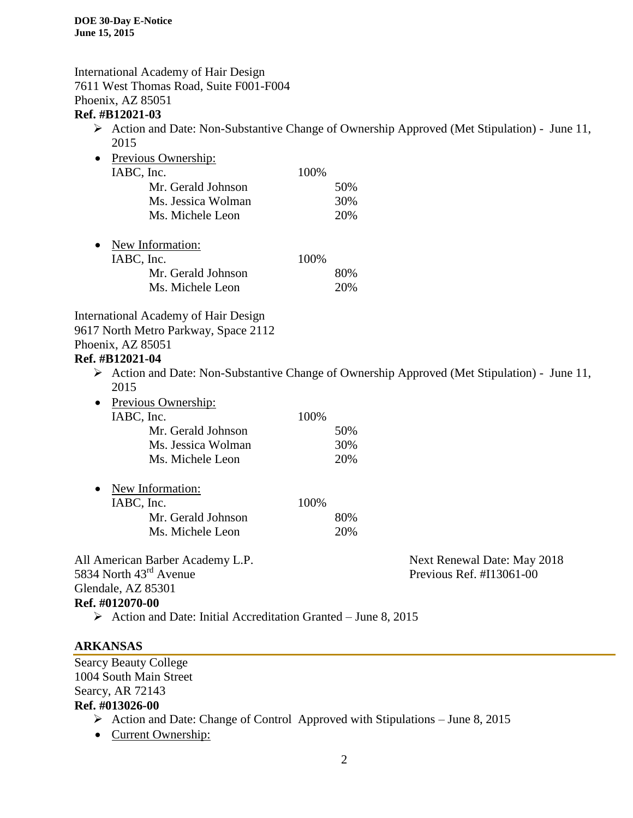International Academy of Hair Design 7611 West Thomas Road, Suite F001-F004 Phoenix, AZ 85051 **Ref. #B12021-03**

- Action and Date: Non-Substantive Change of Ownership Approved (Met Stipulation) June 11, 2015
- Previous Ownership: IABC, Inc. 100% Mr. Gerald Johnson 50% Ms. Jessica Wolman 30% Ms. Michele Leon 20%
- New Information: IABC, Inc. 100% Mr. Gerald Johnson 80% Ms. Michele Leon 20%

International Academy of Hair Design 9617 North Metro Parkway, Space 2112 Phoenix, AZ 85051

# **Ref. #B12021-04**

- Action and Date: Non-Substantive Change of Ownership Approved (Met Stipulation) June 11, 2015
- Previous Ownership:

| IABC, Inc.         | 100% |
|--------------------|------|
| Mr. Gerald Johnson | 50%  |
| Ms. Jessica Wolman | 30%  |
| Ms. Michele Leon   | 20%  |
|                    |      |

| • New Information: |       |
|--------------------|-------|
| IABC, Inc.         | 100\% |
| Mr. Gerald Johnson | 80%   |
| Ms. Michele Leon   | 20%   |

All American Barber Academy L.P. Next Renewal Date: May 2018 5834 North 43<sup>rd</sup> Avenue Previous Ref. #I13061-00 Glendale, AZ 85301 **Ref. #012070-00**

 $\triangleright$  Action and Date: Initial Accreditation Granted – June 8, 2015

# **ARKANSAS**

Searcy Beauty College 1004 South Main Street Searcy, AR 72143 **Ref. #013026-00**  $\triangleright$  Action and Date: Change of Control Approved with Stipulations – June 8, 2015

• Current Ownership: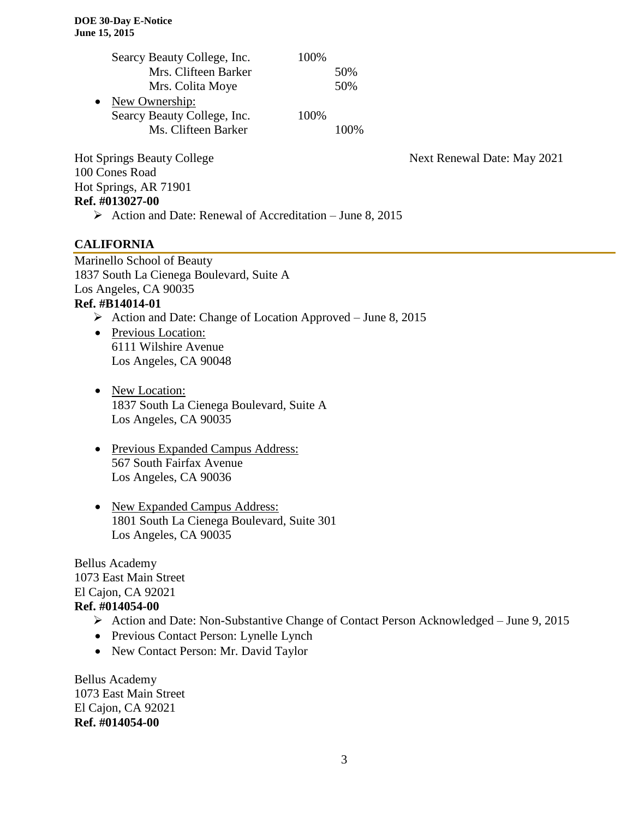|           | Searcy Beauty College, Inc. | 100% |       |
|-----------|-----------------------------|------|-------|
|           | Mrs. Clifteen Barker        |      | 50%   |
|           | Mrs. Colita Moye            |      | 50%   |
| $\bullet$ | New Ownership:              |      |       |
|           | Searcy Beauty College, Inc. | 100% |       |
|           | Ms. Clifteen Barker         |      | 100\% |
|           |                             |      |       |

100 Cones Road Hot Springs, AR 71901 **Ref. #013027-00**

Hot Springs Beauty College Next Renewal Date: May 2021

# Action and Date: Renewal of Accreditation – June 8, 2015

# **CALIFORNIA**

Marinello School of Beauty 1837 South La Cienega Boulevard, Suite A Los Angeles, CA 90035 **Ref. #B14014-01**

- $\triangleright$  Action and Date: Change of Location Approved June 8, 2015
- Previous Location: 6111 Wilshire Avenue Los Angeles, CA 90048
- New Location: 1837 South La Cienega Boulevard, Suite A Los Angeles, CA 90035
- Previous Expanded Campus Address: 567 South Fairfax Avenue Los Angeles, CA 90036
- New Expanded Campus Address: 1801 South La Cienega Boulevard, Suite 301 Los Angeles, CA 90035

Bellus Academy 1073 East Main Street El Cajon, CA 92021 **Ref. #014054-00**

- Action and Date: Non-Substantive Change of Contact Person Acknowledged June 9, 2015
- Previous Contact Person: Lynelle Lynch
- New Contact Person: Mr. David Taylor

Bellus Academy 1073 East Main Street El Cajon, CA 92021 **Ref. #014054-00**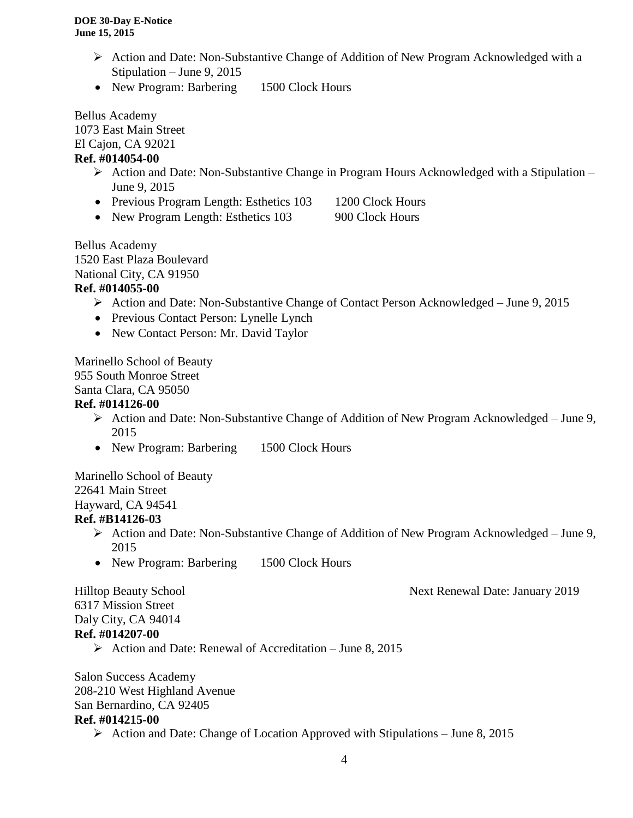- $\triangleright$  Action and Date: Non-Substantive Change of Addition of New Program Acknowledged with a Stipulation – June 9, 2015
- New Program: Barbering 1500 Clock Hours

Bellus Academy

1073 East Main Street El Cajon, CA 92021

# **Ref. #014054-00**

- $\triangleright$  Action and Date: Non-Substantive Change in Program Hours Acknowledged with a Stipulation June 9, 2015
- Previous Program Length: Esthetics 103 1200 Clock Hours
- New Program Length: Esthetics 103 900 Clock Hours

Bellus Academy 1520 East Plaza Boulevard National City, CA 91950

# **Ref. #014055-00**

- Action and Date: Non-Substantive Change of Contact Person Acknowledged June 9, 2015
- Previous Contact Person: Lynelle Lynch
- New Contact Person: Mr. David Taylor

Marinello School of Beauty 955 South Monroe Street Santa Clara, CA 95050

# **Ref. #014126-00**

- Action and Date: Non-Substantive Change of Addition of New Program Acknowledged June 9, 2015
- New Program: Barbering 1500 Clock Hours

Marinello School of Beauty 22641 Main Street Hayward, CA 94541 **Ref. #B14126-03**

- Action and Date: Non-Substantive Change of Addition of New Program Acknowledged June 9, 2015
- New Program: Barbering 1500 Clock Hours

#### Hilltop Beauty School Next Renewal Date: January 2019

6317 Mission Street Daly City, CA 94014 **Ref. #014207-00**

 $\triangleright$  Action and Date: Renewal of Accreditation – June 8, 2015

Salon Success Academy 208-210 West Highland Avenue San Bernardino, CA 92405 **Ref. #014215-00**

Action and Date: Change of Location Approved with Stipulations – June 8, 2015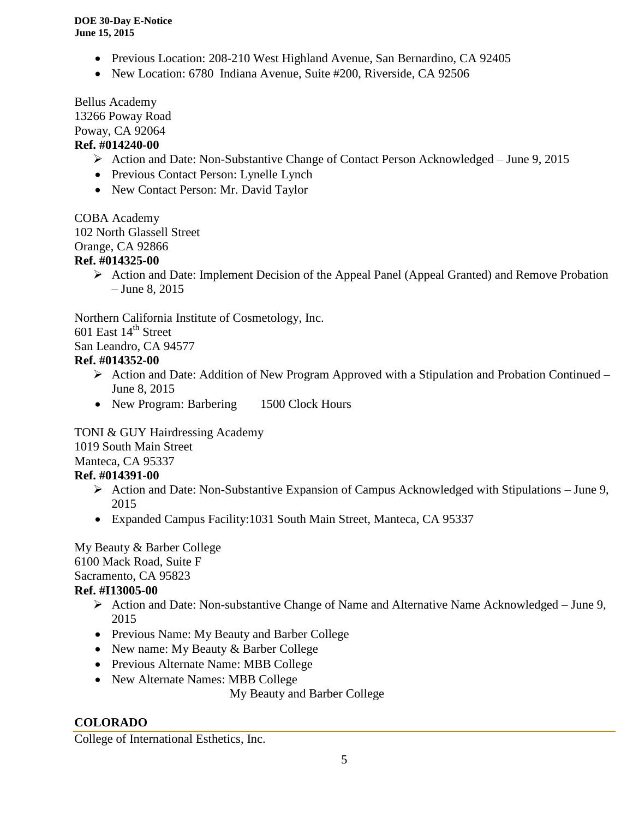- Previous Location: 208-210 West Highland Avenue, San Bernardino, CA 92405
- New Location: 6780 Indiana Avenue, Suite #200, Riverside, CA 92506

Bellus Academy

13266 Poway Road

Poway, CA 92064

# **Ref. #014240-00**

- Action and Date: Non-Substantive Change of Contact Person Acknowledged June 9, 2015
- Previous Contact Person: Lynelle Lynch
- New Contact Person: Mr. David Taylor

COBA Academy

102 North Glassell Street

Orange, CA 92866

# **Ref. #014325-00**

 $\triangleright$  Action and Date: Implement Decision of the Appeal Panel (Appeal Granted) and Remove Probation – June 8, 2015

Northern California Institute of Cosmetology, Inc.

601 East  $14<sup>th</sup>$  Street

San Leandro, CA 94577

# **Ref. #014352-00**

- $\triangleright$  Action and Date: Addition of New Program Approved with a Stipulation and Probation Continued June 8, 2015
- New Program: Barbering 1500 Clock Hours

TONI & GUY Hairdressing Academy

1019 South Main Street

# Manteca, CA 95337

# **Ref. #014391-00**

- $\triangleright$  Action and Date: Non-Substantive Expansion of Campus Acknowledged with Stipulations June 9, 2015
- Expanded Campus Facility:1031 South Main Street, Manteca, CA 95337

My Beauty & Barber College 6100 Mack Road, Suite F Sacramento, CA 95823

# **Ref. #I13005-00**

- Action and Date: Non-substantive Change of Name and Alternative Name Acknowledged June 9, 2015
- Previous Name: My Beauty and Barber College
- New name: My Beauty & Barber College
- Previous Alternate Name: MBB College
- New Alternate Names: MBB College

My Beauty and Barber College

# **COLORADO**

College of International Esthetics, Inc.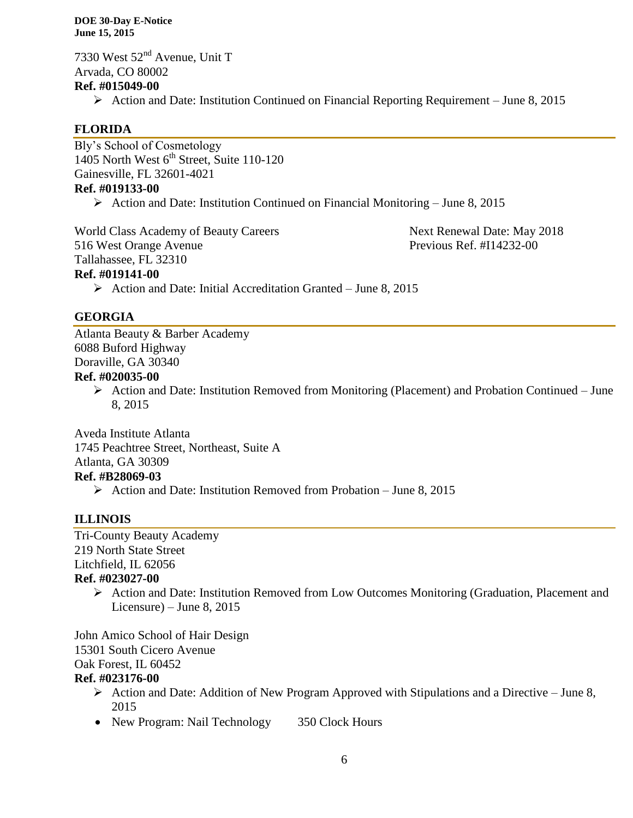7330 West 52<sup>nd</sup> Avenue, Unit T Arvada, CO 80002 **Ref. #015049-00**  $\triangleright$  Action and Date: Institution Continued on Financial Reporting Requirement – June 8, 2015

# **FLORIDA**

Bly's School of Cosmetology 1405 North West  $6<sup>th</sup>$  Street, Suite 110-120 Gainesville, FL 32601-4021 **Ref. #019133-00**

Action and Date: Institution Continued on Financial Monitoring – June 8, 2015

World Class Academy of Beauty Careers Next Renewal Date: May 2018 516 West Orange Avenue Previous Ref. #I14232-00 Tallahassee, FL 32310 **Ref. #019141-00**  $\triangleright$  Action and Date: Initial Accreditation Granted – June 8, 2015

# **GEORGIA**

Atlanta Beauty & Barber Academy 6088 Buford Highway Doraville, GA 30340 **Ref. #020035-00**

 $\triangleright$  Action and Date: Institution Removed from Monitoring (Placement) and Probation Continued – June 8, 2015

Aveda Institute Atlanta 1745 Peachtree Street, Northeast, Suite A Atlanta, GA 30309 **Ref. #B28069-03**  $\triangleright$  Action and Date: Institution Removed from Probation – June 8, 2015

#### **ILLINOIS**

Tri-County Beauty Academy 219 North State Street Litchfield, IL 62056 **Ref. #023027-00**

 $\triangleright$  Action and Date: Institution Removed from Low Outcomes Monitoring (Graduation, Placement and Licensure) – June 8, 2015

John Amico School of Hair Design 15301 South Cicero Avenue Oak Forest, IL 60452 **Ref. #023176-00**

- $\triangleright$  Action and Date: Addition of New Program Approved with Stipulations and a Directive June 8, 2015
- New Program: Nail Technology 350 Clock Hours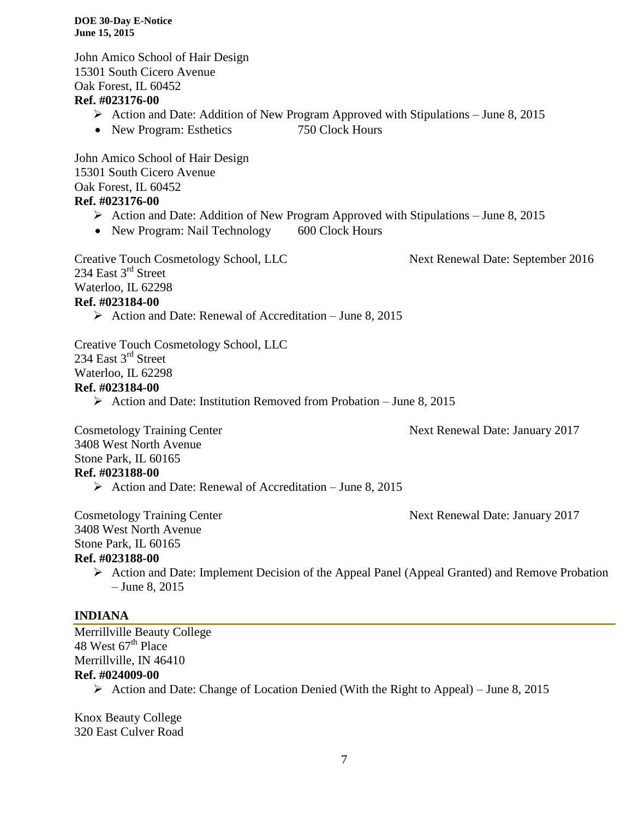John Amico School of Hair Design 15301 South Cicero Avenue Oak Forest, IL 60452

#### **Ref. #023176-00**

- $\triangleright$  Action and Date: Addition of New Program Approved with Stipulations June 8, 2015
- New Program: Esthetics 750 Clock Hours

John Amico School of Hair Design 15301 South Cicero Avenue Oak Forest, IL 60452 **Ref. #023176-00**

- $\triangleright$  Action and Date: Addition of New Program Approved with Stipulations June 8, 2015
- New Program: Nail Technology 600 Clock Hours

Creative Touch Cosmetology School, LLC Next Renewal Date: September 2016 234 East 3<sup>rd</sup> Street Waterloo, IL 62298 **Ref. #023184-00**

 $\triangleright$  Action and Date: Renewal of Accreditation – June 8, 2015

Creative Touch Cosmetology School, LLC 234 East 3<sup>rd</sup> Street Waterloo, IL 62298 **Ref. #023184-00**

Action and Date: Institution Removed from Probation – June 8, 2015

Cosmetology Training Center Next Renewal Date: January 2017 3408 West North Avenue Stone Park, IL 60165

#### **Ref. #023188-00**

 $\triangleright$  Action and Date: Renewal of Accreditation – June 8, 2015

Cosmetology Training Center Next Renewal Date: January 2017

3408 West North Avenue

Stone Park, IL 60165

#### **Ref. #023188-00**

 Action and Date: Implement Decision of the Appeal Panel (Appeal Granted) and Remove Probation – June 8, 2015

## **INDIANA**

Merrillville Beauty College 48 West  $67<sup>th</sup>$  Place Merrillville, IN 46410 **Ref. #024009-00**

 $\triangleright$  Action and Date: Change of Location Denied (With the Right to Appeal) – June 8, 2015

Knox Beauty College 320 East Culver Road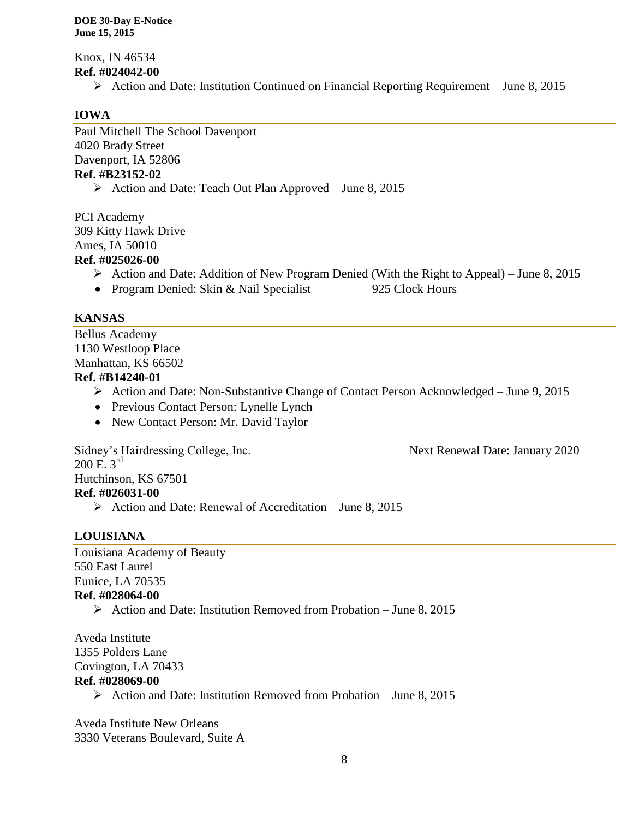Knox, IN 46534 **Ref. #024042-00**

 $\triangleright$  Action and Date: Institution Continued on Financial Reporting Requirement – June 8, 2015

# **IOWA**

Paul Mitchell The School Davenport 4020 Brady Street Davenport, IA 52806 **Ref. #B23152-02**

Action and Date: Teach Out Plan Approved – June 8, 2015

PCI Academy 309 Kitty Hawk Drive Ames, IA 50010

# **Ref. #025026-00**

- $\triangleright$  Action and Date: Addition of New Program Denied (With the Right to Appeal) June 8, 2015
- Program Denied: Skin & Nail Specialist 925 Clock Hours

#### **KANSAS**

Bellus Academy 1130 Westloop Place Manhattan, KS 66502

# **Ref. #B14240-01**

- Action and Date: Non-Substantive Change of Contact Person Acknowledged June 9, 2015
- Previous Contact Person: Lynelle Lynch
- New Contact Person: Mr. David Taylor

Sidney's Hairdressing College, Inc. Next Renewal Date: January 2020 Hutchinson, KS 67501

- **Ref. #026031-00**
	- $\triangleright$  Action and Date: Renewal of Accreditation June 8, 2015

#### **LOUISIANA**

 $200 \text{ E. } 3^{\text{rd}}$ 

Louisiana Academy of Beauty 550 East Laurel Eunice, LA 70535 **Ref. #028064-00**

 $\triangleright$  Action and Date: Institution Removed from Probation – June 8, 2015

Aveda Institute 1355 Polders Lane Covington, LA 70433 **Ref. #028069-00**

Action and Date: Institution Removed from Probation – June 8, 2015

Aveda Institute New Orleans 3330 Veterans Boulevard, Suite A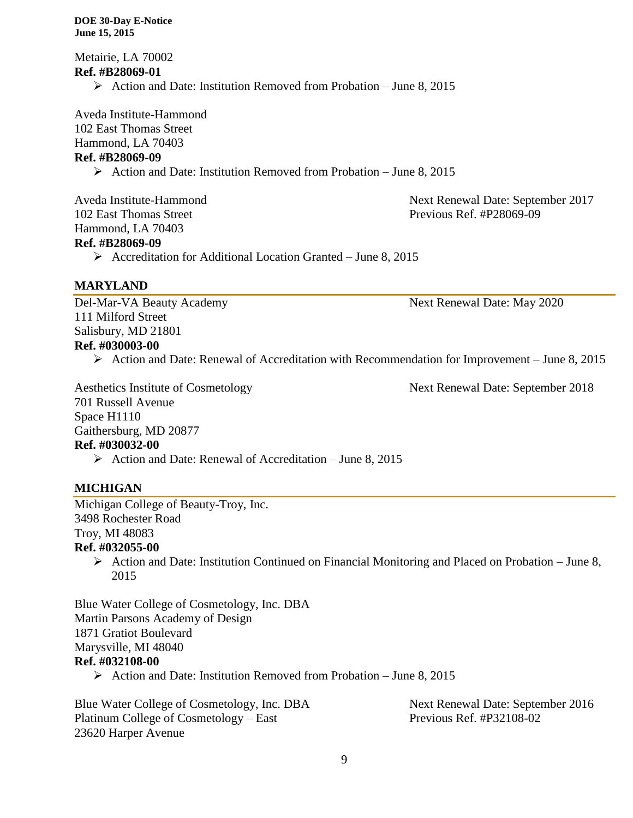Metairie, LA 70002 **Ref. #B28069-01**  $\triangleright$  Action and Date: Institution Removed from Probation – June 8, 2015

Aveda Institute-Hammond 102 East Thomas Street Hammond, LA 70403 **Ref. #B28069-09**

 $\triangleright$  Action and Date: Institution Removed from Probation – June 8, 2015

Hammond, LA 70403 **Ref. #B28069-09**

Aveda Institute-Hammond Next Renewal Date: September 2017 102 East Thomas Street **Previous Ref. #P28069-09** 

 $\triangleright$  Accreditation for Additional Location Granted – June 8, 2015

# **MARYLAND**

Del-Mar-VA Beauty Academy 1986 1997 Next Renewal Date: May 2020 111 Milford Street Salisbury, MD 21801 **Ref. #030003-00**

 $\triangleright$  Action and Date: Renewal of Accreditation with Recommendation for Improvement – June 8, 2015

Aesthetics Institute of Cosmetology Next Renewal Date: September 2018 701 Russell Avenue Space H1110 Gaithersburg, MD 20877 **Ref. #030032-00**  $\triangleright$  Action and Date: Renewal of Accreditation – June 8, 2015

# **MICHIGAN**

Michigan College of Beauty-Troy, Inc. 3498 Rochester Road Troy, MI 48083 **Ref. #032055-00**

 $\triangleright$  Action and Date: Institution Continued on Financial Monitoring and Placed on Probation – June 8, 2015

Blue Water College of Cosmetology, Inc. DBA Martin Parsons Academy of Design 1871 Gratiot Boulevard Marysville, MI 48040 **Ref. #032108-00**

 $\triangleright$  Action and Date: Institution Removed from Probation – June 8, 2015

Blue Water College of Cosmetology, Inc. DBA Next Renewal Date: September 2016 Platinum College of Cosmetology – East Previous Ref. #P32108-02 23620 Harper Avenue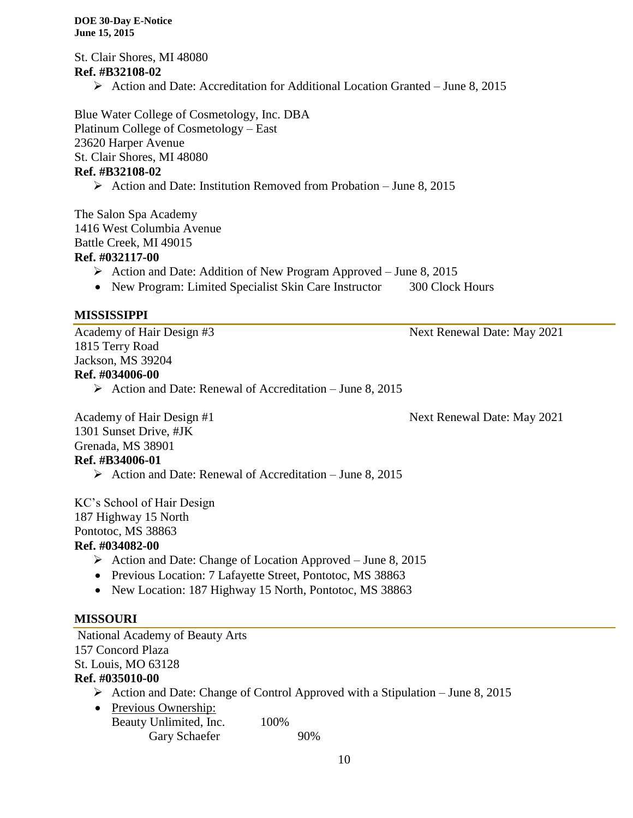St. Clair Shores, MI 48080 **Ref. #B32108-02**  $\triangleright$  Action and Date: Accreditation for Additional Location Granted – June 8, 2015

Blue Water College of Cosmetology, Inc. DBA Platinum College of Cosmetology – East 23620 Harper Avenue St. Clair Shores, MI 48080 **Ref. #B32108-02**

 $\triangleright$  Action and Date: Institution Removed from Probation – June 8, 2015

The Salon Spa Academy 1416 West Columbia Avenue Battle Creek, MI 49015 **Ref. #032117-00**

Action and Date: Addition of New Program Approved – June 8, 2015

• New Program: Limited Specialist Skin Care Instructor 300 Clock Hours

# **MISSISSIPPI**

1815 Terry Road Jackson, MS 39204 **Ref. #034006-00**

 $\triangleright$  Action and Date: Renewal of Accreditation – June 8, 2015

Academy of Hair Design #1 Next Renewal Date: May 2021 1301 Sunset Drive, #JK Grenada, MS 38901

# **Ref. #B34006-01**

 $\triangleright$  Action and Date: Renewal of Accreditation – June 8, 2015

KC's School of Hair Design 187 Highway 15 North Pontotoc, MS 38863 **Ref. #034082-00**

# $\triangleright$  Action and Date: Change of Location Approved – June 8, 2015

- Previous Location: 7 Lafayette Street, Pontotoc, MS 38863
- New Location: 187 Highway 15 North, Pontotoc, MS 38863

# **MISSOURI**

National Academy of Beauty Arts 157 Concord Plaza St. Louis, MO 63128 **Ref. #035010-00**

- $\triangleright$  Action and Date: Change of Control Approved with a Stipulation June 8, 2015
- Previous Ownership: Beauty Unlimited, Inc. 100% Gary Schaefer 90%

Academy of Hair Design #3 Next Renewal Date: May 2021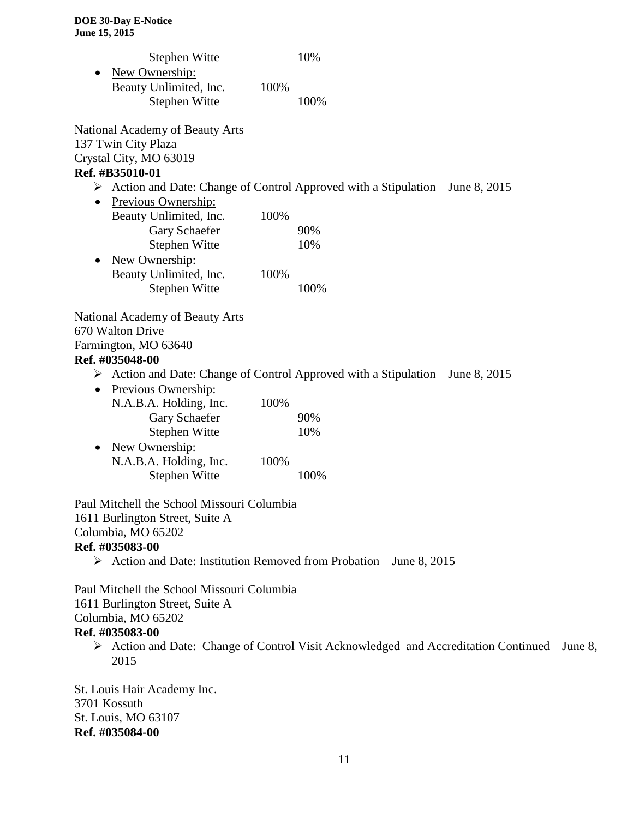|           | Stephen Witte          |      | 10\% |
|-----------|------------------------|------|------|
| $\bullet$ | New Ownership:         |      |      |
|           | Beauty Unlimited, Inc. | 100% |      |
|           | Stephen Witte          |      | 100% |

National Academy of Beauty Arts 137 Twin City Plaza Crystal City, MO 63019 **Ref. #B35010-01**

#### $\triangleright$  Action and Date: Change of Control Approved with a Stipulation – June 8, 2015

| $\bullet$ | Previous Ownership:    |      |     |
|-----------|------------------------|------|-----|
|           | Beauty Unlimited, Inc. | 100% |     |
|           | Gary Schaefer          |      | 90% |
|           | Stephen Witte          |      | 10% |
|           |                        |      |     |

| $\bullet$ | New Ownership:         |      |      |
|-----------|------------------------|------|------|
|           | Beauty Unlimited, Inc. | 100% |      |
|           | Stephen Witte          |      | 100% |

National Academy of Beauty Arts

670 Walton Drive

Farmington, MO 63640

#### **Ref. #035048-00**

- Action and Date: Change of Control Approved with a Stipulation June 8, 2015
- Previous Ownership: N.A.B.A. Holding, Inc. 100% A. Trong, 1998.<br>Gary Schaefer 90% Stephen Witte 10% • New Ownership:

| N.A.B.A. Holding, Inc. | 100% |      |
|------------------------|------|------|
| Stephen Witte          |      | 100% |

Paul Mitchell the School Missouri Columbia 1611 Burlington Street, Suite A Columbia, MO 65202 **Ref. #035083-00**

 $\triangleright$  Action and Date: Institution Removed from Probation – June 8, 2015

Paul Mitchell the School Missouri Columbia 1611 Burlington Street, Suite A Columbia, MO 65202 **Ref. #035083-00**

 Action and Date: Change of Control Visit Acknowledged and Accreditation Continued – June 8, 2015

St. Louis Hair Academy Inc. 3701 Kossuth St. Louis, MO 63107 **Ref. #035084-00**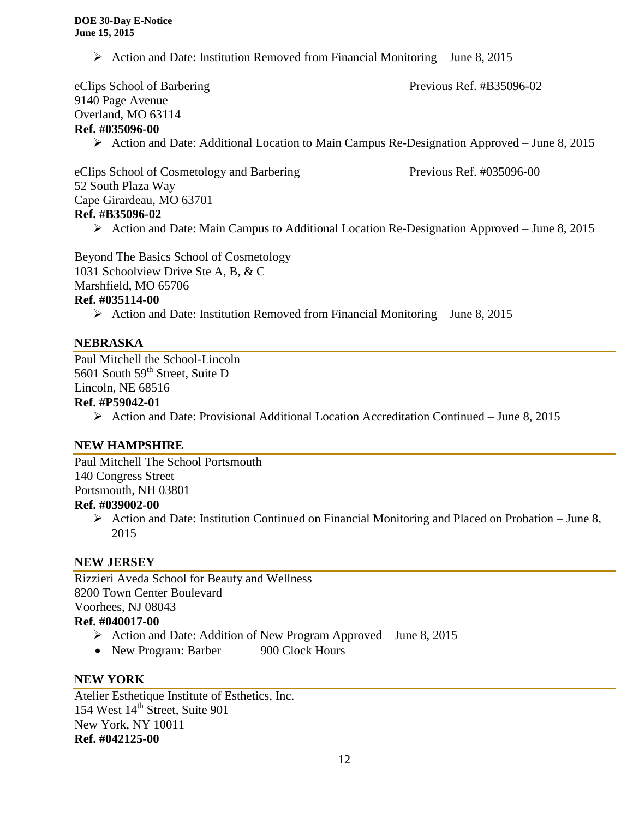Action and Date: Institution Removed from Financial Monitoring – June 8, 2015

eClips School of Barbering Previous Ref. #B35096-02 9140 Page Avenue Overland, MO 63114 **Ref. #035096-00**  $\triangleright$  Action and Date: Additional Location to Main Campus Re-Designation Approved – June 8, 2015 eClips School of Cosmetology and Barbering Previous Ref. #035096-00 52 South Plaza Way Cape Girardeau, MO 63701

# **Ref. #B35096-02**

 $\triangleright$  Action and Date: Main Campus to Additional Location Re-Designation Approved – June 8, 2015

Beyond The Basics School of Cosmetology 1031 Schoolview Drive Ste A, B, & C Marshfield, MO 65706 **Ref. #035114-00**

Action and Date: Institution Removed from Financial Monitoring – June 8, 2015

#### **NEBRASKA**

Paul Mitchell the School-Lincoln 5601 South 59<sup>th</sup> Street, Suite D Lincoln, NE 68516

#### **Ref. #P59042-01**

Action and Date: Provisional Additional Location Accreditation Continued – June 8, 2015

#### **NEW HAMPSHIRE**

Paul Mitchell The School Portsmouth 140 Congress Street Portsmouth, NH 03801

# **Ref. #039002-00**

 $\triangleright$  Action and Date: Institution Continued on Financial Monitoring and Placed on Probation – June 8, 2015

# **NEW JERSEY**

Rizzieri Aveda School for Beauty and Wellness 8200 Town Center Boulevard Voorhees, NJ 08043 **Ref. #040017-00**

- Action and Date: Addition of New Program Approved June 8, 2015
- New Program: Barber 900 Clock Hours

#### **NEW YORK**

Atelier Esthetique Institute of Esthetics, Inc. 154 West 14<sup>th</sup> Street, Suite 901 New York, NY 10011 **Ref. #042125-00**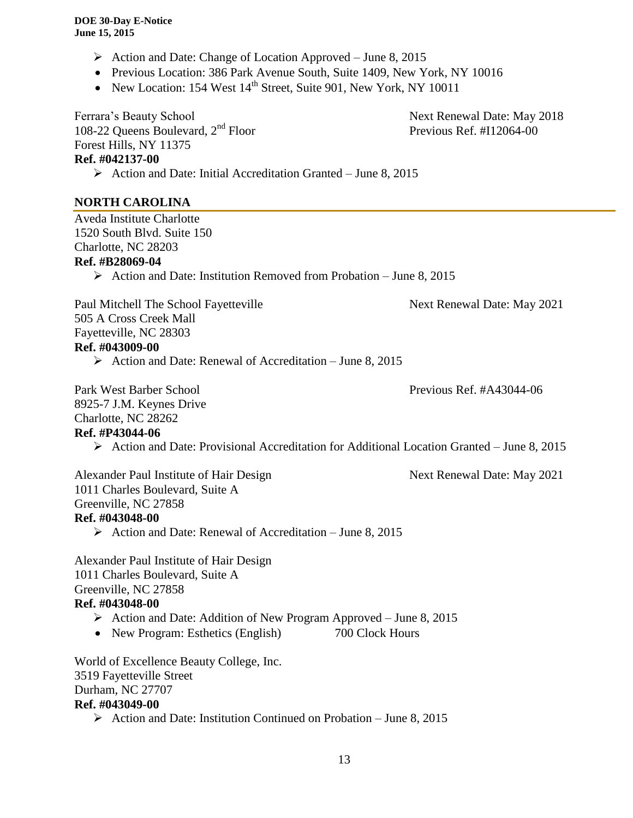- $\triangleright$  Action and Date: Change of Location Approved June 8, 2015
- Previous Location: 386 Park Avenue South, Suite 1409, New York, NY 10016
- New Location: 154 West  $14<sup>th</sup>$  Street, Suite 901, New York, NY 10011

Ferrara's Beauty School Next Renewal Date: May 2018 108-22 Queens Boulevard,  $2<sup>nd</sup>$  Floor Previous Ref. #I12064-00 Forest Hills, NY 11375 **Ref. #042137-00**  $\triangleright$  Action and Date: Initial Accreditation Granted – June 8, 2015

# **NORTH CAROLINA**

Aveda Institute Charlotte 1520 South Blvd. Suite 150 Charlotte, NC 28203 **Ref. #B28069-04**

 $\triangleright$  Action and Date: Institution Removed from Probation – June 8, 2015

Paul Mitchell The School Fayetteville Next Renewal Date: May 2021 505 A Cross Creek Mall Fayetteville, NC 28303 **Ref. #043009-00**

Action and Date: Renewal of Accreditation – June 8, 2015

Park West Barber School Previous Ref. #A43044-06 8925-7 J.M. Keynes Drive Charlotte, NC 28262

# **Ref. #P43044-06**

Action and Date: Provisional Accreditation for Additional Location Granted – June 8, 2015

Alexander Paul Institute of Hair Design Next Renewal Date: May 2021 1011 Charles Boulevard, Suite A Greenville, NC 27858 **Ref. #043048-00**

 $\triangleright$  Action and Date: Renewal of Accreditation – June 8, 2015

Alexander Paul Institute of Hair Design 1011 Charles Boulevard, Suite A Greenville, NC 27858

#### **Ref. #043048-00**

- $\triangleright$  Action and Date: Addition of New Program Approved June 8, 2015
- New Program: Esthetics (English) 700 Clock Hours

World of Excellence Beauty College, Inc. 3519 Fayetteville Street Durham, NC 27707 **Ref. #043049-00**  $\triangleright$  Action and Date: Institution Continued on Probation – June 8, 2015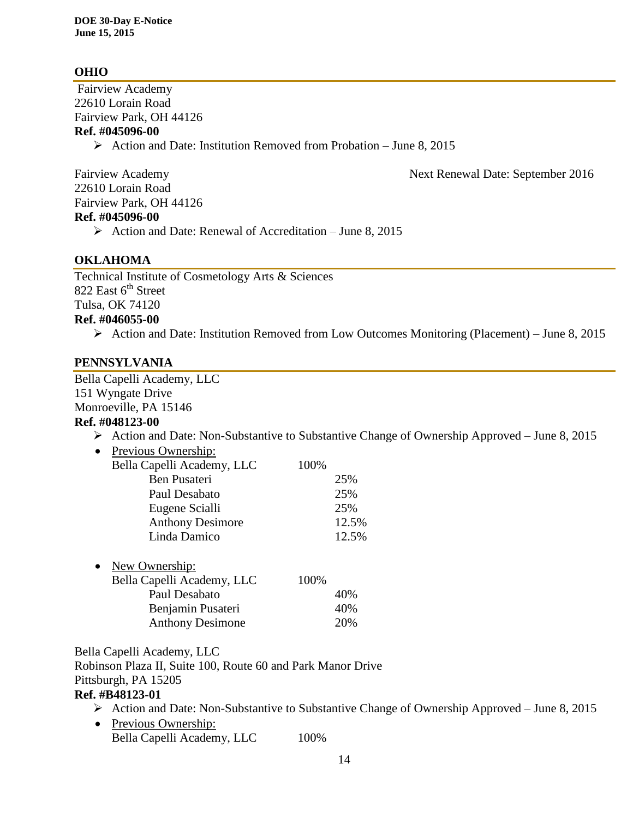# **OHIO**

Fairview Academy 22610 Lorain Road Fairview Park, OH 44126 **Ref. #045096-00**  $\triangleright$  Action and Date: Institution Removed from Probation – June 8, 2015

22610 Lorain Road Fairview Park, OH 44126 **Ref. #045096-00**

 $\triangleright$  Action and Date: Renewal of Accreditation – June 8, 2015

## **OKLAHOMA**

Technical Institute of Cosmetology Arts & Sciences 822 East  $6<sup>th</sup>$  Street Tulsa, OK 74120 **Ref. #046055-00**

Action and Date: Institution Removed from Low Outcomes Monitoring (Placement) – June 8, 2015

#### **PENNSYLVANIA**

Bella Capelli Academy, LLC 151 Wyngate Drive Monroeville, PA 15146

#### **Ref. #048123-00**

Action and Date: Non-Substantive to Substantive Change of Ownership Approved – June 8, 2015

| Previous Ownership:                             |       |       |
|-------------------------------------------------|-------|-------|
| Bella Capelli Academy, LLC                      | 100%  |       |
| Ben Pusateri                                    |       | 25%   |
| Paul Desabato                                   |       | 25%   |
| Eugene Scialli                                  |       | 25%   |
| <b>Anthony Desimore</b>                         |       | 12.5% |
| Linda Damico                                    |       | 12.5% |
| New Ownership:<br>$D_0$ lle Canalli Academy IIC | 10004 |       |

| Bella Capelli Academy, LLC | 100% |
|----------------------------|------|
| Paul Desabato              | 40%  |
| Benjamin Pusateri          | 40%  |
| <b>Anthony Desimone</b>    | 20%  |

Bella Capelli Academy, LLC

Robinson Plaza II, Suite 100, Route 60 and Park Manor Drive Pittsburgh, PA 15205

## **Ref. #B48123-01**

- Action and Date: Non-Substantive to Substantive Change of Ownership Approved June 8, 2015
- Previous Ownership: Bella Capelli Academy, LLC 100%

Fairview Academy **Next Renewal Date: September 2016**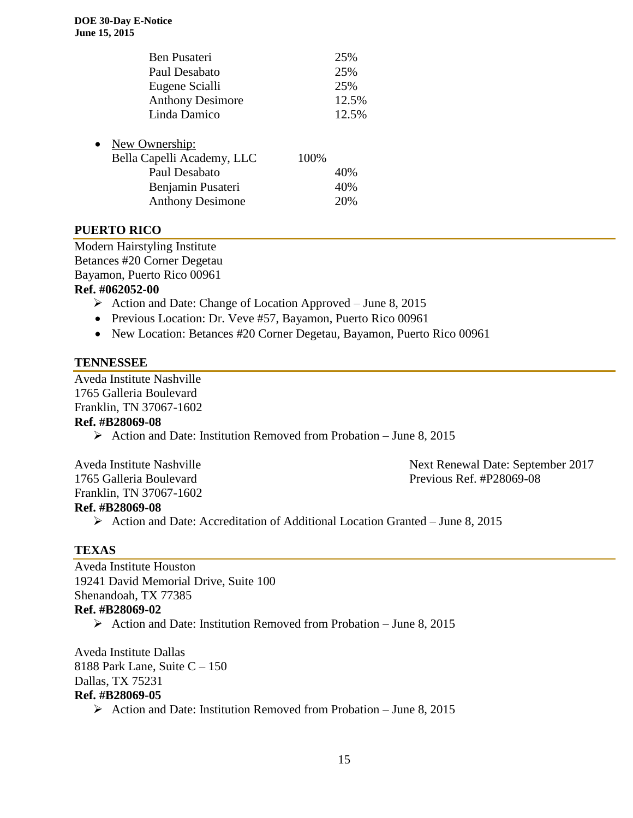|           | Ben Pusateri               |      | 25%   |
|-----------|----------------------------|------|-------|
|           | Paul Desabato              |      | 25%   |
|           | Eugene Scialli             |      | 25%   |
|           | <b>Anthony Desimore</b>    |      | 12.5% |
|           | Linda Damico               |      | 12.5% |
|           |                            |      |       |
| $\bullet$ | New Ownership:             |      |       |
|           | Bella Capelli Academy, LLC | 100% |       |
|           | Paul Desabato              |      | 40%   |
|           | Benjamin Pusateri          |      | 40%   |
|           | <b>Anthony Desimone</b>    |      | 20%   |
|           |                            |      |       |

## **PUERTO RICO**

Modern Hairstyling Institute Betances #20 Corner Degetau Bayamon, Puerto Rico 00961 **Ref. #062052-00**

- $\triangleright$  Action and Date: Change of Location Approved June 8, 2015
- Previous Location: Dr. Veve #57, Bayamon, Puerto Rico 00961
- New Location: Betances #20 Corner Degetau, Bayamon, Puerto Rico 00961

#### **TENNESSEE**

Aveda Institute Nashville 1765 Galleria Boulevard Franklin, TN 37067-1602

#### **Ref. #B28069-08**

Action and Date: Institution Removed from Probation – June 8, 2015

Franklin, TN 37067-1602 **Ref. #B28069-08**

Aveda Institute Nashville Next Renewal Date: September 2017 1765 Galleria Boulevard Previous Ref. #P28069-08

 $\triangleright$  Action and Date: Accreditation of Additional Location Granted – June 8, 2015

#### **TEXAS**

Aveda Institute Houston 19241 David Memorial Drive, Suite 100 Shenandoah, TX 77385 **Ref. #B28069-02** Action and Date: Institution Removed from Probation – June 8, 2015

Aveda Institute Dallas 8188 Park Lane, Suite C – 150 Dallas, TX 75231 **Ref. #B28069-05**

Action and Date: Institution Removed from Probation – June 8, 2015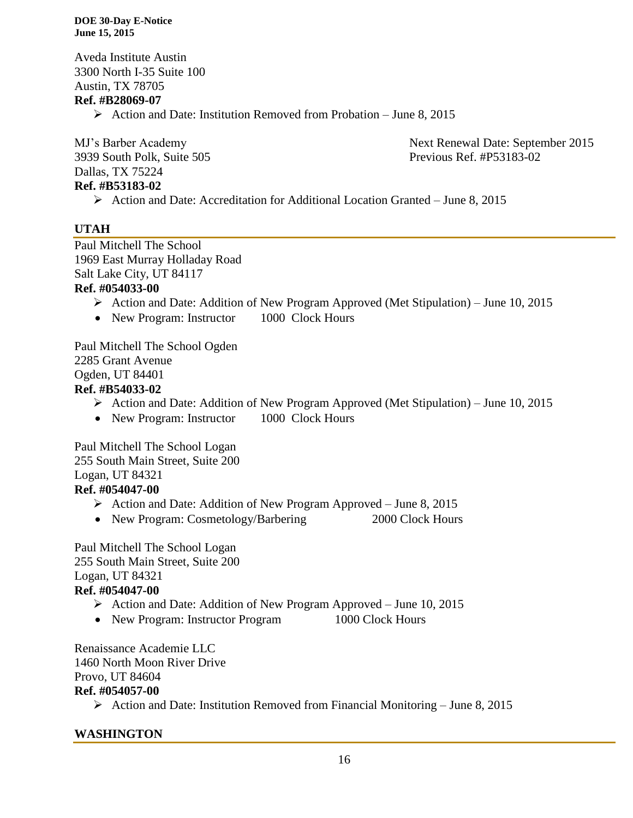Aveda Institute Austin 3300 North I-35 Suite 100 Austin, TX 78705

# **Ref. #B28069-07**

 $\triangleright$  Action and Date: Institution Removed from Probation – June 8, 2015

3939 South Polk, Suite 505 Previous Ref. #P53183-02 Dallas, TX 75224 **Ref. #B53183-02**

MJ's Barber Academy Next Renewal Date: September 2015

 $\triangleright$  Action and Date: Accreditation for Additional Location Granted – June 8, 2015

## **UTAH**

Paul Mitchell The School 1969 East Murray Holladay Road Salt Lake City, UT 84117

#### **Ref. #054033-00**

- Action and Date: Addition of New Program Approved (Met Stipulation) June 10, 2015
- New Program: Instructor 1000 Clock Hours

Paul Mitchell The School Ogden 2285 Grant Avenue Ogden, UT 84401 **Ref. #B54033-02**

- Action and Date: Addition of New Program Approved (Met Stipulation) June 10, 2015
- New Program: Instructor 1000 Clock Hours

Paul Mitchell The School Logan 255 South Main Street, Suite 200 Logan, UT 84321 **Ref. #054047-00**

- Action and Date: Addition of New Program Approved June 8, 2015
- New Program: Cosmetology/Barbering 2000 Clock Hours

Paul Mitchell The School Logan 255 South Main Street, Suite 200 Logan, UT 84321 **Ref. #054047-00**

- $\triangleright$  Action and Date: Addition of New Program Approved June 10, 2015
- New Program: Instructor Program 1000 Clock Hours

Renaissance Academie LLC 1460 North Moon River Drive

# Provo, UT 84604

#### **Ref. #054057-00**

 $\triangleright$  Action and Date: Institution Removed from Financial Monitoring – June 8, 2015

#### **WASHINGTON**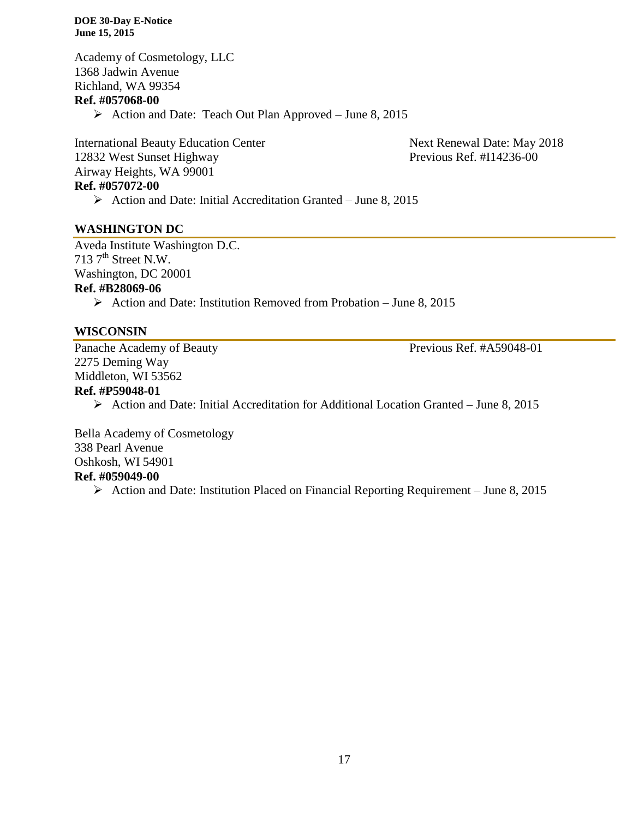Academy of Cosmetology, LLC 1368 Jadwin Avenue Richland, WA 99354 **Ref. #057068-00**  $\triangleright$  Action and Date: Teach Out Plan Approved – June 8, 2015

International Beauty Education Center Next Renewal Date: May 2018 12832 West Sunset Highway Previous Ref. #I14236-00 Airway Heights, WA 99001 **Ref. #057072-00**

 $\triangleright$  Action and Date: Initial Accreditation Granted – June 8, 2015

#### **WASHINGTON DC**

Aveda Institute Washington D.C. 713  $7<sup>th</sup>$  Street N.W.

Washington, DC 20001

#### **Ref. #B28069-06**

 $\triangleright$  Action and Date: Institution Removed from Probation – June 8, 2015

#### **WISCONSIN**

Panache Academy of Beauty Previous Ref. #A59048-01 2275 Deming Way Middleton, WI 53562

# **Ref. #P59048-01**

 $\triangleright$  Action and Date: Initial Accreditation for Additional Location Granted – June 8, 2015

Bella Academy of Cosmetology 338 Pearl Avenue Oshkosh, WI 54901 **Ref. #059049-00**

 $\triangleright$  Action and Date: Institution Placed on Financial Reporting Requirement – June 8, 2015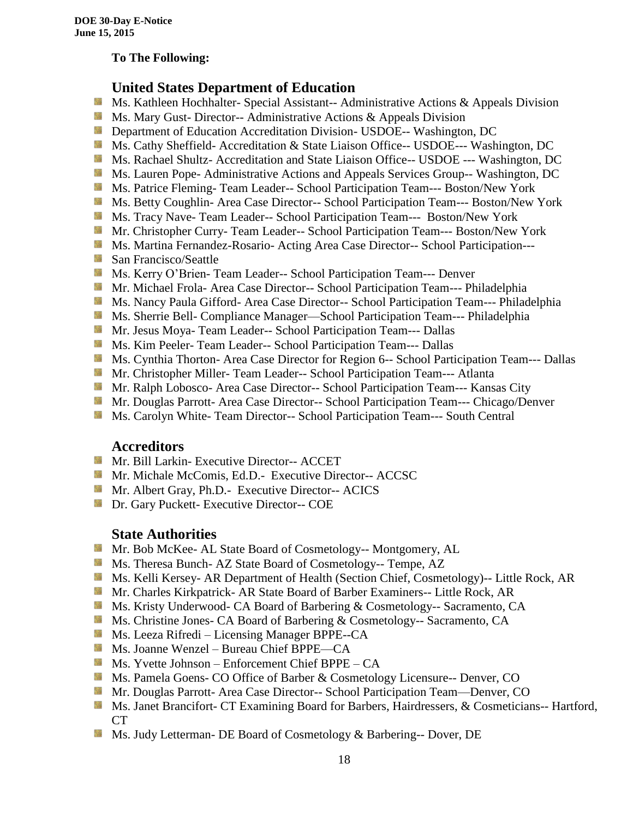#### **To The Following:**

# **United States Department of Education**

- **Ms. Kathleen Hochhalter- Special Assistant-- Administrative Actions & Appeals Division**
- **Ms.** Mary Gust- Director-- Administrative Actions  $\&$  Appeals Division
- **Department of Education Accreditation Division- USDOE-- Washington, DC**
- Ms. Cathy Sheffield- Accreditation & State Liaison Office-- USDOE--- Washington, DC
- **MS. Rachael Shultz- Accreditation and State Liaison Office-- USDOE --- Washington, DC**
- Ms. Lauren Pope- Administrative Actions and Appeals Services Group-- Washington, DC
- Ms. Patrice Fleming-Team Leader-- School Participation Team--- Boston/New York
- **MS. Betty Coughlin- Area Case Director-- School Participation Team--- Boston/New York**
- Ms. Tracy Nave-Team Leader-- School Participation Team--- Boston/New York
- **Mr. Christopher Curry- Team Leader-- School Participation Team--- Boston/New York**
- Ms. Martina Fernandez-Rosario- Acting Area Case Director-- School Participation---
- **San Francisco/Seattle**
- **Ms. Kerry O'Brien- Team Leader-- School Participation Team--- Denver**
- **Mr. Michael Frola- Area Case Director-- School Participation Team--- Philadelphia**
- **Ms. Nancy Paula Gifford- Area Case Director-- School Participation Team--- Philadelphia**
- Ms. Sherrie Bell- Compliance Manager—School Participation Team--- Philadelphia
- Mr. Jesus Moya- Team Leader-- School Participation Team--- Dallas
- **MS. Kim Peeler- Team Leader-- School Participation Team--- Dallas**
- **Ms. Cynthia Thorton- Area Case Director for Region 6-- School Participation Team--- Dallas**
- **Mr. Christopher Miller-Team Leader-- School Participation Team--- Atlanta**
- **Mr. Ralph Lobosco- Area Case Director-- School Participation Team--- Kansas City**
- Mr. Douglas Parrott- Area Case Director-- School Participation Team--- Chicago/Denver
- **MS. Carolyn White-Team Director-- School Participation Team--- South Central**

# **Accreditors**

- **Mr. Bill Larkin- Executive Director-- ACCET**
- **Mr. Michale McComis, Ed.D.- Executive Director-- ACCSC**
- Mr. Albert Gray, Ph.D.- Executive Director-- ACICS
- **Dr.** Gary Puckett- Executive Director-- COE

# **State Authorities**

- **Mr.** Bob McKee- AL State Board of Cosmetology-- Montgomery, AL
- Ms. Theresa Bunch- AZ State Board of Cosmetology-- Tempe, AZ
- Ms. Kelli Kersey- AR Department of Health (Section Chief, Cosmetology)-- Little Rock, AR
- Mr. Charles Kirkpatrick- AR State Board of Barber Examiners-- Little Rock, AR
- Ms. Kristy Underwood- CA Board of Barbering & Cosmetology-- Sacramento, CA
- Ms. Christine Jones- CA Board of Barbering & Cosmetology-- Sacramento, CA
- **Ms. Leeza Rifredi** Licensing Manager BPPE--CA
- Ms. Joanne Wenzel Bureau Chief BPPE—CA
- Ms. Yvette Johnson Enforcement Chief BPPE CA
- **Ms. Pamela Goens- CO Office of Barber & Cosmetology Licensure-- Denver, CO**
- **Mr. Douglas Parrott- Area Case Director-- School Participation Team—Denver, CO**
- Ms. Janet Brancifort- CT Examining Board for Barbers, Hairdressers, & Cosmeticians-- Hartford, CT
- Ms. Judy Letterman- DE Board of Cosmetology & Barbering-- Dover, DE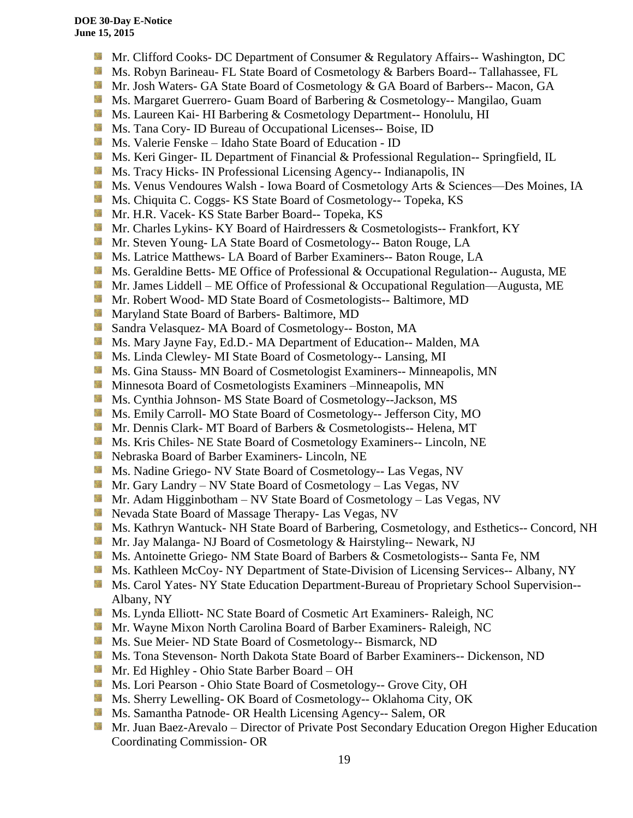- **Mr.** Clifford Cooks- DC Department of Consumer & Regulatory Affairs-- Washington, DC
- Ms. Robyn Barineau- FL State Board of Cosmetology & Barbers Board-- Tallahassee, FL
- Mr. Josh Waters- GA State Board of Cosmetology & GA Board of Barbers-- Macon, GA
- **Ms. Margaret Guerrero- Guam Board of Barbering & Cosmetology-- Mangilao, Guam**
- **MS.** Laureen Kai- HI Barbering & Cosmetology Department-- Honolulu, HI
- **Ms.** Tana Cory- ID Bureau of Occupational Licenses-- Boise, ID
- Ms. Valerie Fenske Idaho State Board of Education ID
- **Ms. Keri Ginger- IL Department of Financial & Professional Regulation-- Springfield, IL**
- SS. Ms. Tracy Hicks- IN Professional Licensing Agency-- Indianapolis, IN
- Ms. Venus Vendoures Walsh Iowa Board of Cosmetology Arts & Sciences—Des Moines, IA
- **Ms.** Chiquita C. Coggs- KS State Board of Cosmetology-- Topeka, KS
- 56 Mr. H.R. Vacek- KS State Barber Board-- Topeka, KS
- Mr. Charles Lykins- KY Board of Hairdressers & Cosmetologists-- Frankfort, KY
- Mr. Steven Young- LA State Board of Cosmetology-- Baton Rouge, LA
- **Ms.** Latrice Matthews- LA Board of Barber Examiners-- Baton Rouge, LA
- **Ms.** Geraldine Betts- ME Office of Professional & Occupational Regulation-- Augusta, ME
- **Mr.** James Liddell ME Office of Professional & Occupational Regulation—Augusta, ME
- **Mr. Robert Wood- MD State Board of Cosmetologists-- Baltimore, MD**
- **Maryland State Board of Barbers- Baltimore, MD**
- Sandra Velasquez- MA Board of Cosmetology-- Boston, MA
- **M** Ms. Mary Jayne Fay, Ed.D.- MA Department of Education-- Malden, MA
- Sila Ms. Linda Clewley- MI State Board of Cosmetology-- Lansing, MI
- Ms. Gina Stauss- MN Board of Cosmetologist Examiners-- Minneapolis, MN
- **M** Minnesota Board of Cosmetologists Examiners –Minneapolis, MN
- 59 Ms. Cynthia Johnson- MS State Board of Cosmetology--Jackson, MS
- Ms. Emily Carroll- MO State Board of Cosmetology-- Jefferson City, MO
- Mr. Dennis Clark- MT Board of Barbers & Cosmetologists-- Helena, MT
- Ms. Kris Chiles- NE State Board of Cosmetology Examiners-- Lincoln, NE
- Nebraska Board of Barber Examiners- Lincoln, NE
- **Ms. Nadine Griego- NV State Board of Cosmetology-- Las Vegas, NV**
- Mr. Gary Landry NV State Board of Cosmetology Las Vegas, NV
- **Mr.** Adam Higginbotham NV State Board of Cosmetology Las Vegas, NV
- **Nevada State Board of Massage Therapy- Las Vegas, NV**
- Ms. Kathryn Wantuck- NH State Board of Barbering, Cosmetology, and Esthetics-- Concord, NH
- Mr. Jay Malanga- NJ Board of Cosmetology & Hairstyling-- Newark, NJ
- Ms. Antoinette Griego- NM State Board of Barbers & Cosmetologists-- Santa Fe, NM
- **Ms. Kathleen McCoy- NY Department of State-Division of Licensing Services-- Albany, NY**
- **Ms. Carol Yates- NY State Education Department-Bureau of Proprietary School Supervision--**Albany, NY
- Ms. Lynda Elliott- NC State Board of Cosmetic Art Examiners- Raleigh, NC
- **Mr. Wayne Mixon North Carolina Board of Barber Examiners- Raleigh, NC**
- Ms. Sue Meier- ND State Board of Cosmetology-- Bismarck, ND
- Ms. Tona Stevenson- North Dakota State Board of Barber Examiners-- Dickenson, ND
- Mr. Ed Highley Ohio State Barber Board OH
- Ms. Lori Pearson Ohio State Board of Cosmetology-- Grove City, OH
- Ms. Sherry Lewelling- OK Board of Cosmetology-- Oklahoma City, OK
- **Ms. Samantha Patnode- OR Health Licensing Agency-- Salem, OR**
- **Mr. Juan Baez-Arevalo** Director of Private Post Secondary Education Oregon Higher Education Coordinating Commission- OR